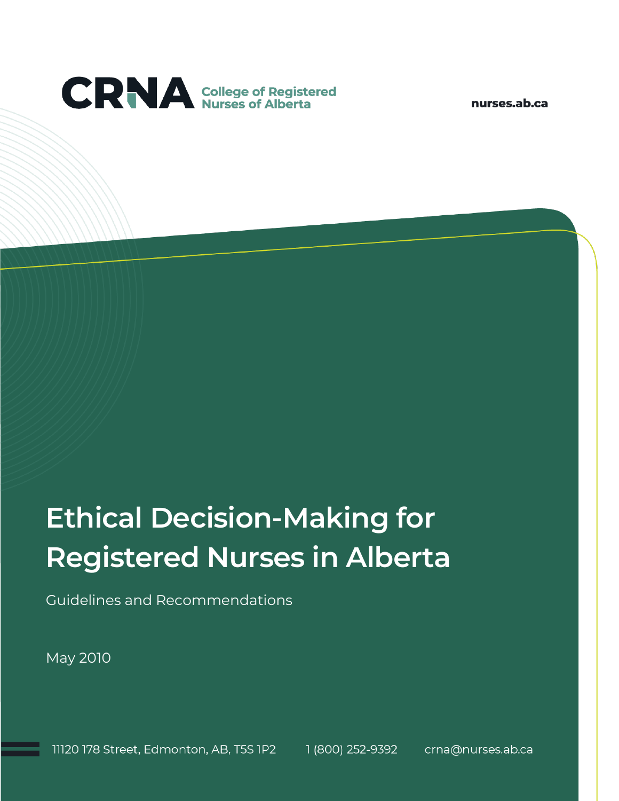

nurses.ab.ca

# **Ethical Decision-Making for Registered Nurses in Alberta**

Guidelines and Recommendations

May 2010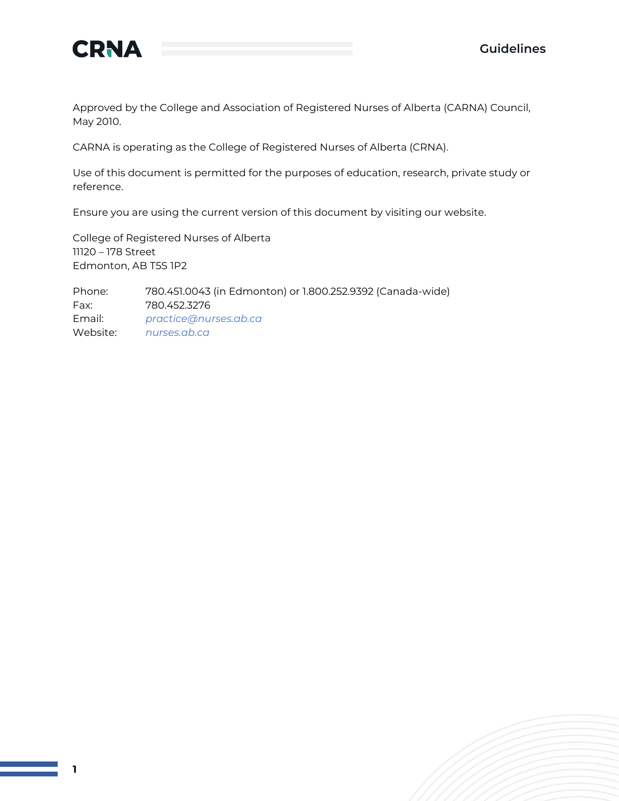

Approved by the College and Association of Registered Nurses of Alberta (CARNA) Council, May 2010.

CARNA is operating as the College of Registered Nurses of Alberta (CRNA).

Use of this document is permitted for the purposes of education, research, private study or reference.

Ensure you are using the current version of this document by visiting our website.

College of Registered Nurses of Alberta 11120 – 178 Street Edmonton, AB T5S 1P2

Phone: 780.451.0043 (in Edmonton) or 1.800.252.9392 (Canada-wide) Fax: 780.452.3276 Email: *[practice@nurses.ab.ca](mailto:practice@nurses.ab.ca)* Website: *[nurses.ab.ca](http://www.nurses.ab.ca/)*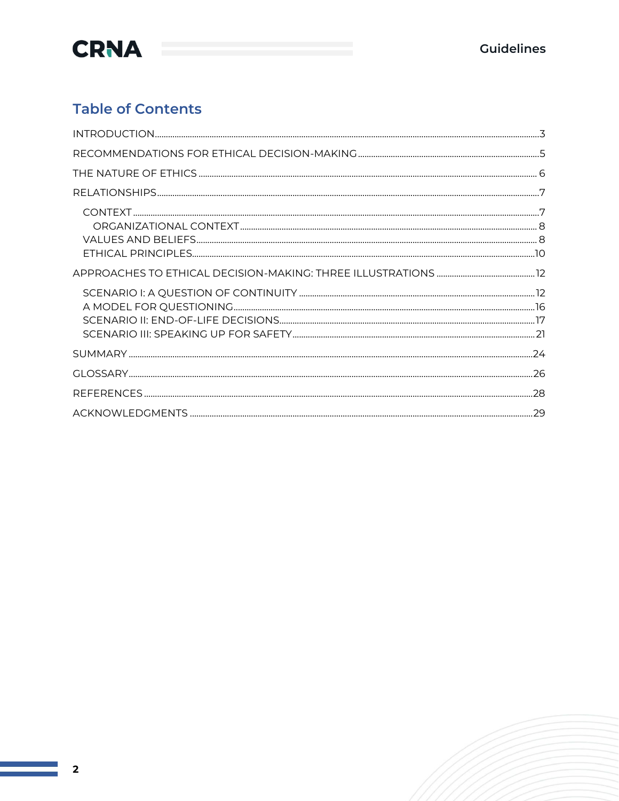

### **Table of Contents**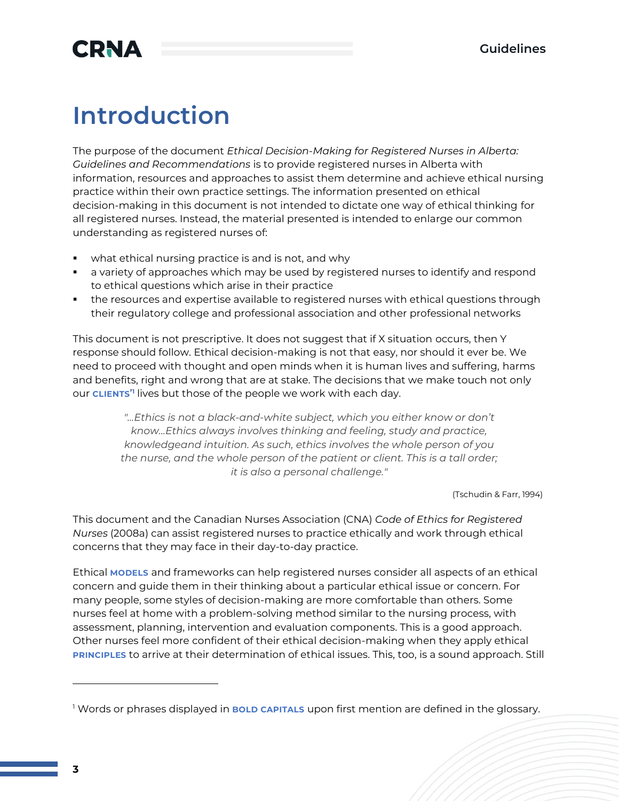## **CRNA**

## **Introduction**

The purpose of the document *Ethical Decision-Making for Registered Nurses in Alberta: Guidelines and Recommendations* is to provide registered nurses in Alberta with information, resources and approaches to assist them determine and achieve ethical nursing practice within their own practice settings. The information presented on ethical decision-making in this document is not intended to dictate one way of ethical thinking for all registered nurses. Instead, the material presented is intended to enlarge our common understanding as registered nurses of:

- what ethical nursing practice is and is not, and why
- a variety of approaches which may be used by registered nurses to identify and respond to ethical questions which arise in their practice
- the resources and expertise available to registered nurses with ethical questions through their regulatory college and professional association and other professional networks

This document is not prescriptive. It does not suggest that if X situation occurs, then Y response should follow. Ethical decision-making is not that easy, nor should it ever be. We need to proceed with thought and open minds when it is human lives and suffering, harms and benefits, right and wrong that are at stake. The decisions that we make touch not only our **CLIENTS**' **1** lives but those of the people we work with each day.

> *"…Ethics is not a black-and-white subject, which you either know or don't know…Ethics always involves thinking and feeling, study and practice, knowledgeand intuition. As such, ethics involves the whole person of you the nurse, and the whole person of the patient or client. This is a tall order; it is also a personal challenge."*

> > (Tschudin & Farr, 1994)

This document and the Canadian Nurses Association (CNA) *Code of Ethics for Registered Nurses* (2008a) can assist registered nurses to practice ethically and work through ethical concerns that they may face in their day-to-day practice.

Ethical **MODELS** and frameworks can help registered nurses consider all aspects of an ethical concern and guide them in their thinking about a particular ethical issue or concern. For many people, some styles of decision-making are more comfortable than others. Some nurses feel at home with a problem-solving method similar to the nursing process, with assessment, planning, intervention and evaluation components. This is a good approach. Other nurses feel more confident of their ethical decision-making when they apply ethical **PRINCIPLES** to arrive at their determination of ethical issues. This, too, is a sound approach. Still

<sup>1</sup> Words or phrases displayed in **BOLD CAPITALS** upon first mention are defined in the glossary.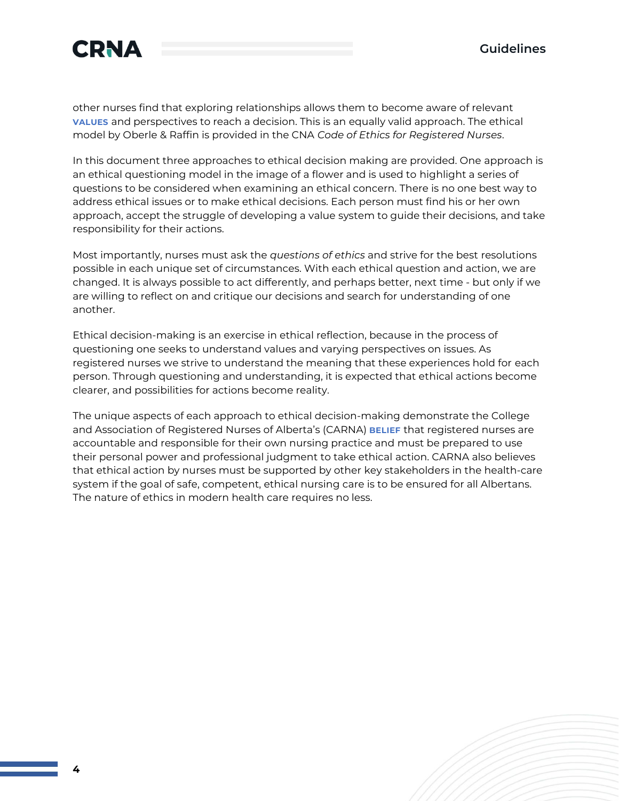

other nurses find that exploring relationships allows them to become aware of relevant **VALUES** and perspectives to reach a decision. This is an equally valid approach. The ethical model by Oberle & Raffin is provided in the CNA *Code of Ethics for Registered Nurses*.

In this document three approaches to ethical decision making are provided. One approach is an ethical questioning model in the image of a flower and is used to highlight a series of questions to be considered when examining an ethical concern. There is no one best way to address ethical issues or to make ethical decisions. Each person must find his or her own approach, accept the struggle of developing a value system to guide their decisions, and take responsibility for their actions.

Most importantly, nurses must ask the *questions of ethics* and strive for the best resolutions possible in each unique set of circumstances. With each ethical question and action, we are changed. It is always possible to act differently, and perhaps better, next time - but only if we are willing to reflect on and critique our decisions and search for understanding of one another.

Ethical decision-making is an exercise in ethical reflection, because in the process of questioning one seeks to understand values and varying perspectives on issues. As registered nurses we strive to understand the meaning that these experiences hold for each person. Through questioning and understanding, it is expected that ethical actions become clearer, and possibilities for actions become reality.

The unique aspects of each approach to ethical decision-making demonstrate the College and Association of Registered Nurses of Alberta's (CARNA) **BELIEF** that registered nurses are accountable and responsible for their own nursing practice and must be prepared to use their personal power and professional judgment to take ethical action. CARNA also believes that ethical action by nurses must be supported by other key stakeholders in the health-care system if the goal of safe, competent, ethical nursing care is to be ensured for all Albertans. The nature of ethics in modern health care requires no less.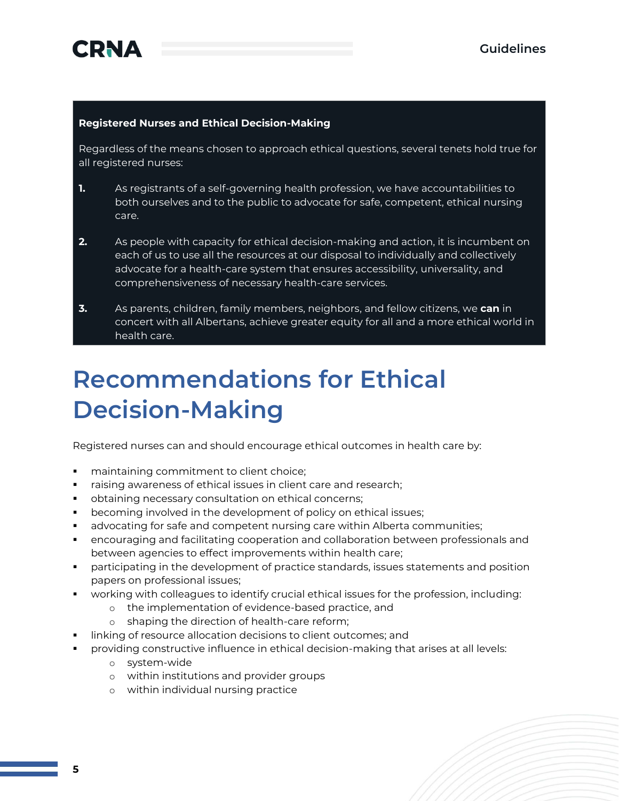#### **Registered Nurses and Ethical Decision-Making**

Regardless of the means chosen to approach ethical questions, several tenets hold true for all registered nurses:

- **1.** As registrants of a self-governing health profession, we have accountabilities to both ourselves and to the public to advocate for safe, competent, ethical nursing care.
- **2.** As people with capacity for ethical decision-making and action, it is incumbent on each of us to use all the resources at our disposal to individually and collectively advocate for a health-care system that ensures accessibility, universality, and comprehensiveness of necessary health-care services.
- **3.** As parents, children, family members, neighbors, and fellow citizens, we **can** in concert with all Albertans, achieve greater equity for all and a more ethical world in health care.

## **Recommendations for Ethical Decision-Making**

Registered nurses can and should encourage ethical outcomes in health care by:

- maintaining commitment to client choice;
- **EXP** raising awareness of ethical issues in client care and research;
- obtaining necessary consultation on ethical concerns;
- becoming involved in the development of policy on ethical issues;
- **■** advocating for safe and competent nursing care within Alberta communities;
- encouraging and facilitating cooperation and collaboration between professionals and between agencies to effect improvements within health care;
- participating in the development of practice standards, issues statements and position papers on professional issues;
- working with colleagues to identify crucial ethical issues for the profession, including:
	- o the implementation of evidence-based practice, and
	- o shaping the direction of health-care reform;
- linking of resource allocation decisions to client outcomes; and
- providing constructive influence in ethical decision-making that arises at all levels:
	- o system-wide
	- o within institutions and provider groups
	- o within individual nursing practice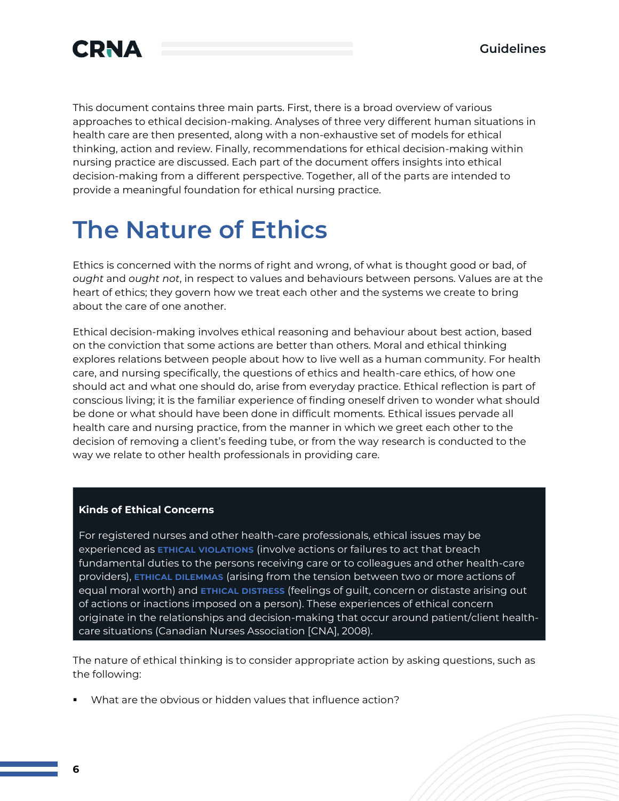

This document contains three main parts. First, there is a broad overview of various approaches to ethical decision-making. Analyses of three very different human situations in health care are then presented, along with a non-exhaustive set of models for ethical thinking, action and review. Finally, recommendations for ethical decision-making within nursing practice are discussed. Each part of the document offers insights into ethical decision-making from a different perspective. Together, all of the parts are intended to provide a meaningful foundation for ethical nursing practice.

## **The Nature of Ethics**

Ethics is concerned with the norms of right and wrong, of what is thought good or bad, of *ought* and *ought not*, in respect to values and behaviours between persons. Values are at the heart of ethics; they govern how we treat each other and the systems we create to bring about the care of one another.

Ethical decision-making involves ethical reasoning and behaviour about best action, based on the conviction that some actions are better than others. Moral and ethical thinking explores relations between people about how to live well as a human community. For health care, and nursing specifically, the questions of ethics and health-care ethics, of how one should act and what one should do, arise from everyday practice. Ethical reflection is part of conscious living; it is the familiar experience of finding oneself driven to wonder what should be done or what should have been done in difficult moments. Ethical issues pervade all health care and nursing practice, from the manner in which we greet each other to the decision of removing a client's feeding tube, or from the way research is conducted to the way we relate to other health professionals in providing care.

#### **Kinds of Ethical Concerns**

For registered nurses and other health-care professionals, ethical issues may be experienced as **ETHICAL VIOLATIONS** (involve actions or failures to act that breach fundamental duties to the persons receiving care or to colleagues and other health-care providers), **ETHICAL DILEMMAS** (arising from the tension between two or more actions of equal moral worth) and **ETHICAL DISTRESS** (feelings of guilt, concern or distaste arising out of actions or inactions imposed on a person). These experiences of ethical concern originate in the relationships and decision-making that occur around patient/client healthcare situations (Canadian Nurses Association [CNA], 2008).

The nature of ethical thinking is to consider appropriate action by asking questions, such as the following:

What are the obvious or hidden values that influence action?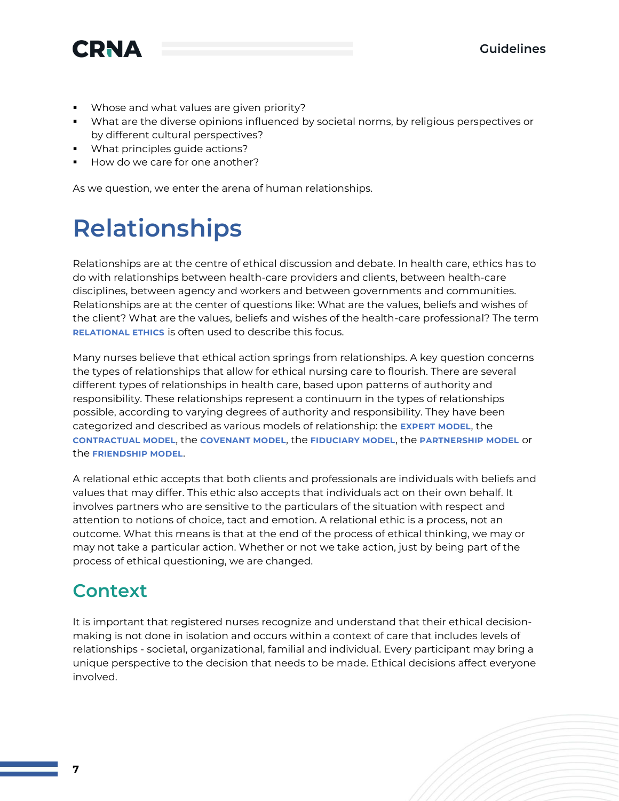

- Whose and what values are given priority?
- What are the diverse opinions influenced by societal norms, by religious perspectives or by different cultural perspectives?
- What principles guide actions?
- How do we care for one another?

As we question, we enter the arena of human relationships.

## **Relationships**

Relationships are at the centre of ethical discussion and debate. In health care, ethics has to do with relationships between health-care providers and clients, between health-care disciplines, between agency and workers and between governments and communities. Relationships are at the center of questions like: What are the values, beliefs and wishes of the client? What are the values, beliefs and wishes of the health-care professional? The term **RELATIONAL ETHICS** is often used to describe this focus.

Many nurses believe that ethical action springs from relationships. A key question concerns the types of relationships that allow for ethical nursing care to flourish. There are several different types of relationships in health care, based upon patterns of authority and responsibility. These relationships represent a continuum in the types of relationships possible, according to varying degrees of authority and responsibility. They have been categorized and described as various models of relationship: the **EXPERT MODEL**, the **CONTRACTUAL MODEL**, the **COVENANT MODEL**, the **FIDUCIARY MODEL**, the **PARTNERSHIP MODEL** or the **FRIENDSHIP MODEL**.

A relational ethic accepts that both clients and professionals are individuals with beliefs and values that may differ. This ethic also accepts that individuals act on their own behalf. It involves partners who are sensitive to the particulars of the situation with respect and attention to notions of choice, tact and emotion. A relational ethic is a process, not an outcome. What this means is that at the end of the process of ethical thinking, we may or may not take a particular action. Whether or not we take action, just by being part of the process of ethical questioning, we are changed.

### **Context**

It is important that registered nurses recognize and understand that their ethical decisionmaking is not done in isolation and occurs within a context of care that includes levels of relationships - societal, organizational, familial and individual. Every participant may bring a unique perspective to the decision that needs to be made. Ethical decisions affect everyone involved.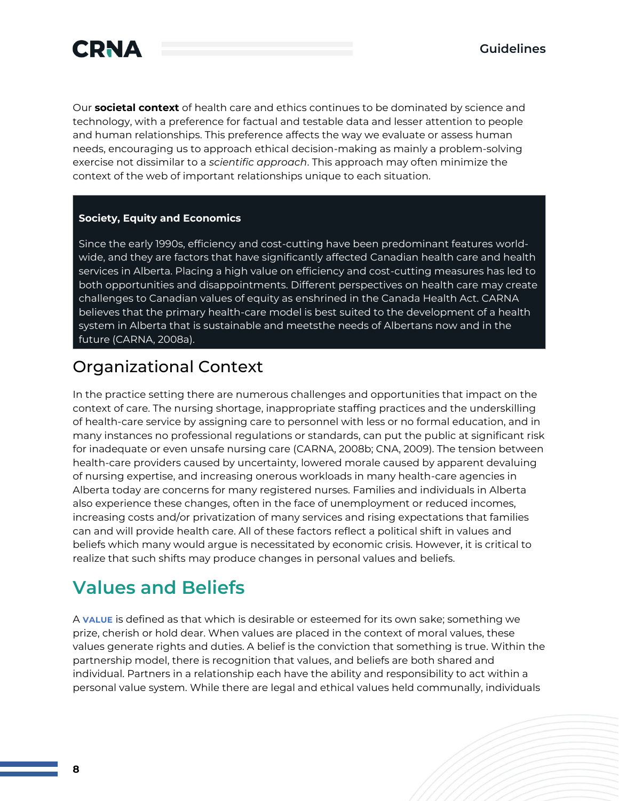



Our **societal context** of health care and ethics continues to be dominated by science and technology, with a preference for factual and testable data and lesser attention to people and human relationships. This preference affects the way we evaluate or assess human needs, encouraging us to approach ethical decision-making as mainly a problem-solving exercise not dissimilar to a *scientific approach*. This approach may often minimize the context of the web of important relationships unique to each situation.

#### **Society, Equity and Economics**

Since the early 1990s, efficiency and cost-cutting have been predominant features worldwide, and they are factors that have significantly affected Canadian health care and health services in Alberta. Placing a high value on efficiency and cost-cutting measures has led to both opportunities and disappointments. Different perspectives on health care may create challenges to Canadian values of equity as enshrined in the Canada Health Act. CARNA believes that the primary health-care model is best suited to the development of a health system in Alberta that is sustainable and meetsthe needs of Albertans now and in the future (CARNA, 2008a).

### Organizational Context

In the practice setting there are numerous challenges and opportunities that impact on the context of care. The nursing shortage, inappropriate staffing practices and the underskilling of health-care service by assigning care to personnel with less or no formal education, and in many instances no professional regulations or standards, can put the public at significant risk for inadequate or even unsafe nursing care (CARNA, 2008b; CNA, 2009). The tension between health-care providers caused by uncertainty, lowered morale caused by apparent devaluing of nursing expertise, and increasing onerous workloads in many health-care agencies in Alberta today are concerns for many registered nurses. Families and individuals in Alberta also experience these changes, often in the face of unemployment or reduced incomes, increasing costs and/or privatization of many services and rising expectations that families can and will provide health care. All of these factors reflect a political shift in values and beliefs which many would argue is necessitated by economic crisis. However, it is critical to realize that such shifts may produce changes in personal values and beliefs.

### **Values and Beliefs**

A **VALUE** is defined as that which is desirable or esteemed for its own sake; something we prize, cherish or hold dear. When values are placed in the context of moral values, these values generate rights and duties. A belief is the conviction that something is true. Within the partnership model, there is recognition that values, and beliefs are both shared and individual. Partners in a relationship each have the ability and responsibility to act within a personal value system. While there are legal and ethical values held communally, individuals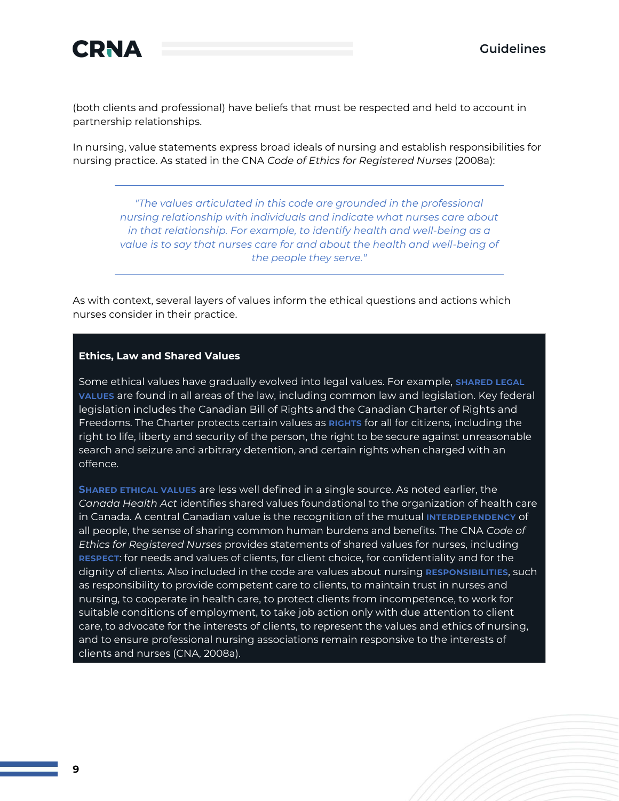

(both clients and professional) have beliefs that must be respected and held to account in partnership relationships.

In nursing, value statements express broad ideals of nursing and establish responsibilities for nursing practice. As stated in the CNA *Code of Ethics for Registered Nurses* (2008a):

*"The values articulated in this code are grounded in the professional nursing relationship with individuals and indicate what nurses care about in that relationship. For example, to identify health and well-being as a value is to say that nurses care for and about the health and well-being of the people they serve."*

As with context, several layers of values inform the ethical questions and actions which nurses consider in their practice.

#### **Ethics, Law and Shared Values**

Some ethical values have gradually evolved into legal values. For example, SHARED LEGAL **VALUES** are found in all areas of the law, including common law and legislation. Key federal legislation includes the Canadian Bill of Rights and the Canadian Charter of Rights and Freedoms. The Charter protects certain values as **RIGHTS** for all for citizens, including the right to life, liberty and security of the person, the right to be secure against unreasonable search and seizure and arbitrary detention, and certain rights when charged with an offence.

**SHARED ETHICAL VALUES** are less well defined in a single source. As noted earlier, the *Canada Health Act* identifies shared values foundational to the organization of health care in Canada. A central Canadian value is the recognition of the mutual **INTERDEPENDENCY** of all people, the sense of sharing common human burdens and benefits. The CNA *Code of Ethics for Registered Nurses* provides statements of shared values for nurses, including **RESPECT**: for needs and values of clients, for client choice, for confidentiality and for the dignity of clients. Also included in the code are values about nursing **RESPONSIBILITIES**, such as responsibility to provide competent care to clients, to maintain trust in nurses and nursing, to cooperate in health care, to protect clients from incompetence, to work for suitable conditions of employment, to take job action only with due attention to client care, to advocate for the interests of clients, to represent the values and ethics of nursing, and to ensure professional nursing associations remain responsive to the interests of clients and nurses (CNA, 2008a).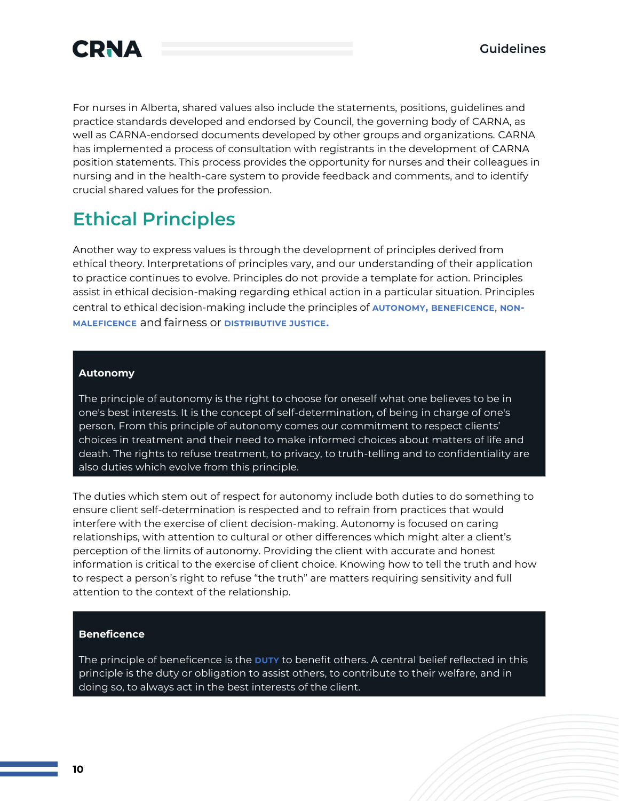

For nurses in Alberta, shared values also include the statements, positions, guidelines and practice standards developed and endorsed by Council, the governing body of CARNA, as well as CARNA-endorsed documents developed by other groups and organizations. CARNA has implemented a process of consultation with registrants in the development of CARNA position statements. This process provides the opportunity for nurses and their colleagues in nursing and in the health-care system to provide feedback and comments, and to identify crucial shared values for the profession.

### **Ethical Principles**

Another way to express values is through the development of principles derived from ethical theory. Interpretations of principles vary, and our understanding of their application to practice continues to evolve. Principles do not provide a template for action. Principles assist in ethical decision-making regarding ethical action in a particular situation. Principles central to ethical decision-making include the principles of **AUTONOMY, BENEFICENCE**, **NON-MALEFICENCE** and fairness or **DISTRIBUTIVE JUSTICE.**

#### **Autonomy**

The principle of autonomy is the right to choose for oneself what one believes to be in one's best interests. It is the concept of self-determination, of being in charge of one's person. From this principle of autonomy comes our commitment to respect clients' choices in treatment and their need to make informed choices about matters of life and death. The rights to refuse treatment, to privacy, to truth-telling and to confidentiality are also duties which evolve from this principle.

The duties which stem out of respect for autonomy include both duties to do something to ensure client self-determination is respected and to refrain from practices that would interfere with the exercise of client decision-making. Autonomy is focused on caring relationships, with attention to cultural or other differences which might alter a client's perception of the limits of autonomy. Providing the client with accurate and honest information is critical to the exercise of client choice. Knowing how to tell the truth and how to respect a person's right to refuse "the truth" are matters requiring sensitivity and full attention to the context of the relationship.

#### **Beneficence**

The principle of beneficence is the **DUTY** to benefit others. A central belief reflected in this principle is the duty or obligation to assist others, to contribute to their welfare, and in doing so, to always act in the best interests of the client.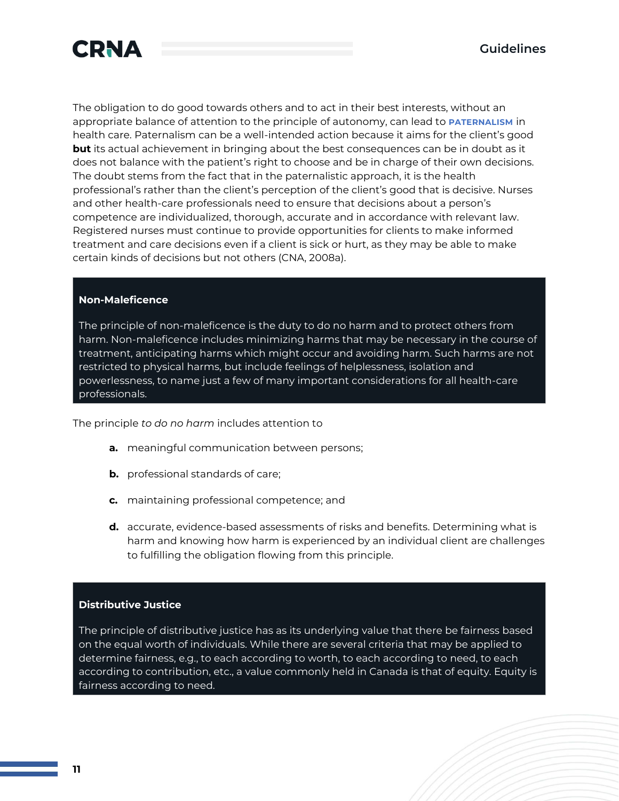

The obligation to do good towards others and to act in their best interests, without an appropriate balance of attention to the principle of autonomy, can lead to **PATERNALISM** in health care. Paternalism can be a well-intended action because it aims for the client's good **but** its actual achievement in bringing about the best consequences can be in doubt as it does not balance with the patient's right to choose and be in charge of their own decisions. The doubt stems from the fact that in the paternalistic approach, it is the health professional's rather than the client's perception of the client's good that is decisive. Nurses and other health-care professionals need to ensure that decisions about a person's competence are individualized, thorough, accurate and in accordance with relevant law. Registered nurses must continue to provide opportunities for clients to make informed treatment and care decisions even if a client is sick or hurt, as they may be able to make certain kinds of decisions but not others (CNA, 2008a).

#### **Non-Maleficence**

The principle of non-maleficence is the duty to do no harm and to protect others from harm. Non-maleficence includes minimizing harms that may be necessary in the course of treatment, anticipating harms which might occur and avoiding harm. Such harms are not restricted to physical harms, but include feelings of helplessness, isolation and powerlessness, to name just a few of many important considerations for all health-care professionals.

The principle *to do no harm* includes attention to

- **a.** meaningful communication between persons;
- **b.** professional standards of care;
- **c.** maintaining professional competence; and
- **d.** accurate, evidence-based assessments of risks and benefits. Determining what is harm and knowing how harm is experienced by an individual client are challenges to fulfilling the obligation flowing from this principle.

#### **Distributive Justice**

The principle of distributive justice has as its underlying value that there be fairness based on the equal worth of individuals. While there are several criteria that may be applied to determine fairness, e.g., to each according to worth, to each according to need, to each according to contribution, etc., a value commonly held in Canada is that of equity. Equity is fairness according to need.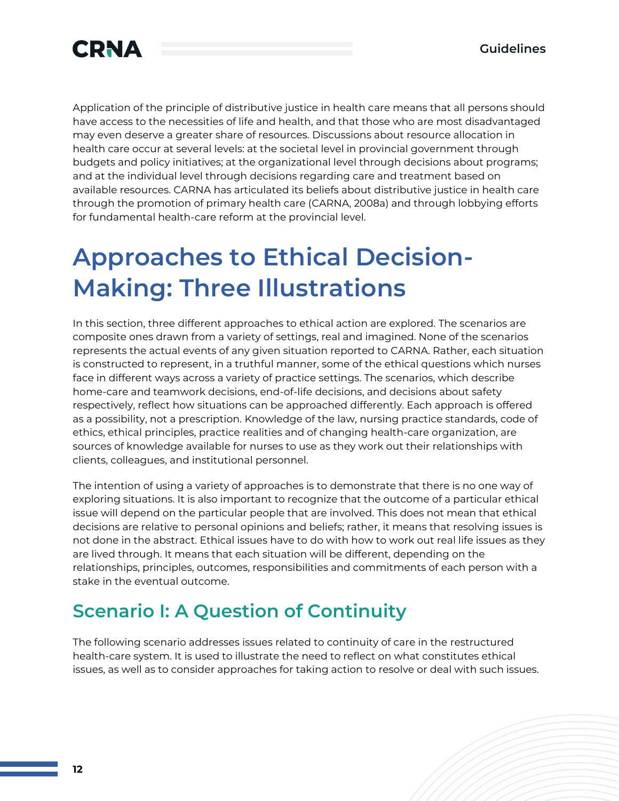

Application of the principle of distributive justice in health care means that all persons should have access to the necessities of life and health, and that those who are most disadvantaged may even deserve a greater share of resources. Discussions about resource allocation in health care occur at several levels: at the societal level in provincial government through budgets and policy initiatives; at the organizational level through decisions about programs; and at the individual level through decisions regarding care and treatment based on available resources. CARNA has articulated its beliefs about distributive justice in health care through the promotion of primary health care (CARNA, 2008a) and through lobbying efforts for fundamental health-care reform at the provincial level.

## **Approaches to Ethical Decision-Making: Three Illustrations**

In this section, three different approaches to ethical action are explored. The scenarios are composite ones drawn from a variety of settings, real and imagined. None of the scenarios represents the actual events of any given situation reported to CARNA. Rather, each situation is constructed to represent, in a truthful manner, some of the ethical questions which nurses face in different ways across a variety of practice settings. The scenarios, which describe home-care and teamwork decisions, end-of-life decisions, and decisions about safety respectively, reflect how situations can be approached differently. Each approach is offered as a possibility, not a prescription. Knowledge of the law, nursing practice standards, code of ethics, ethical principles, practice realities and of changing health-care organization, are sources of knowledge available for nurses to use as they work out their relationships with clients, colleagues, and institutional personnel.

The intention of using a variety of approaches is to demonstrate that there is no one way of exploring situations. It is also important to recognize that the outcome of a particular ethical issue will depend on the particular people that are involved. This does not mean that ethical decisions are relative to personal opinions and beliefs; rather, it means that resolving issues is not done in the abstract. Ethical issues have to do with how to work out real life issues as they are lived through. It means that each situation will be different, depending on the relationships, principles, outcomes, responsibilities and commitments of each person with a stake in the eventual outcome.

### **Scenario I: A Question of Continuity**

The following scenario addresses issues related to continuity of care in the restructured health-care system. It is used to illustrate the need to reflect on what constitutes ethical issues, as well as to consider approaches for taking action to resolve or deal with such issues.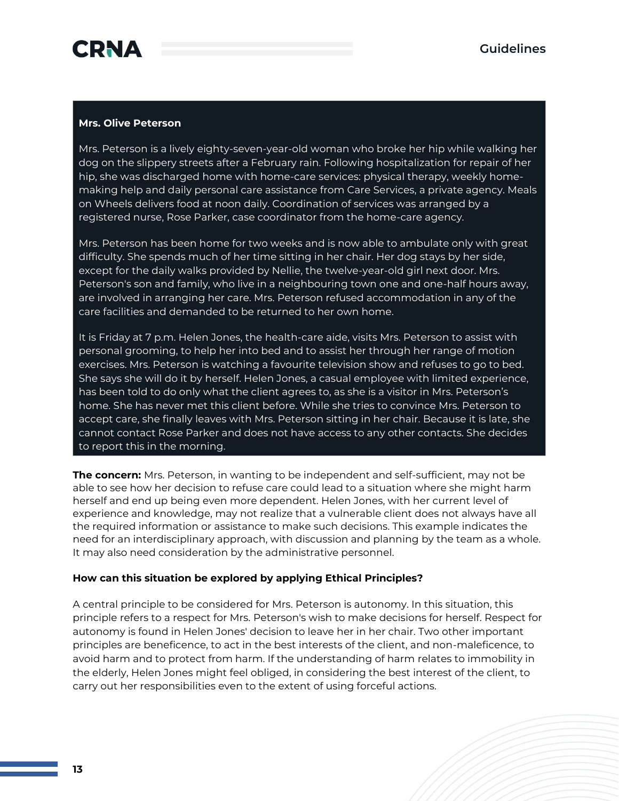

#### **Mrs. Olive Peterson**

Mrs. Peterson is a lively eighty-seven-year-old woman who broke her hip while walking her dog on the slippery streets after a February rain. Following hospitalization for repair of her hip, she was discharged home with home-care services: physical therapy, weekly homemaking help and daily personal care assistance from Care Services, a private agency. Meals on Wheels delivers food at noon daily. Coordination of services was arranged by a registered nurse, Rose Parker, case coordinator from the home-care agency.

Mrs. Peterson has been home for two weeks and is now able to ambulate only with great difficulty. She spends much of her time sitting in her chair. Her dog stays by her side, except for the daily walks provided by Nellie, the twelve-year-old girl next door. Mrs. Peterson's son and family, who live in a neighbouring town one and one-half hours away, are involved in arranging her care. Mrs. Peterson refused accommodation in any of the care facilities and demanded to be returned to her own home.

It is Friday at 7 p.m. Helen Jones, the health-care aide, visits Mrs. Peterson to assist with personal grooming, to help her into bed and to assist her through her range of motion exercises. Mrs. Peterson is watching a favourite television show and refuses to go to bed. She says she will do it by herself. Helen Jones, a casual employee with limited experience, has been told to do only what the client agrees to, as she is a visitor in Mrs. Peterson's home. She has never met this client before. While she tries to convince Mrs. Peterson to accept care, she finally leaves with Mrs. Peterson sitting in her chair. Because it is late, she cannot contact Rose Parker and does not have access to any other contacts. She decides to report this in the morning.

**The concern:** Mrs. Peterson, in wanting to be independent and self-sufficient, may not be able to see how her decision to refuse care could lead to a situation where she might harm herself and end up being even more dependent. Helen Jones, with her current level of experience and knowledge, may not realize that a vulnerable client does not always have all the required information or assistance to make such decisions. This example indicates the need for an interdisciplinary approach, with discussion and planning by the team as a whole. It may also need consideration by the administrative personnel.

#### **How can this situation be explored by applying Ethical Principles?**

A central principle to be considered for Mrs. Peterson is autonomy. In this situation, this principle refers to a respect for Mrs. Peterson's wish to make decisions for herself. Respect for autonomy is found in Helen Jones' decision to leave her in her chair. Two other important principles are beneficence, to act in the best interests of the client, and non-maleficence, to avoid harm and to protect from harm. If the understanding of harm relates to immobility in the elderly, Helen Jones might feel obliged, in considering the best interest of the client, to carry out her responsibilities even to the extent of using forceful actions.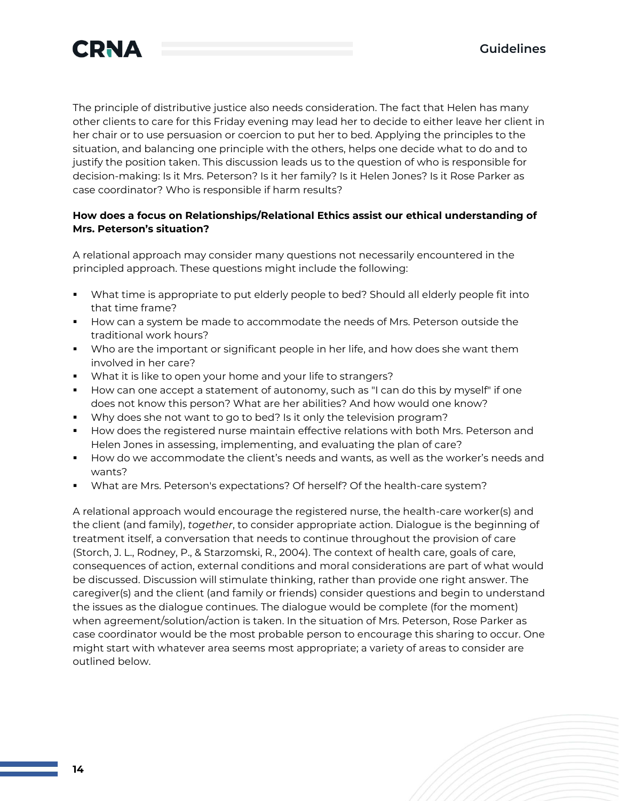

The principle of distributive justice also needs consideration. The fact that Helen has many other clients to care for this Friday evening may lead her to decide to either leave her client in her chair or to use persuasion or coercion to put her to bed. Applying the principles to the situation, and balancing one principle with the others, helps one decide what to do and to justify the position taken. This discussion leads us to the question of who is responsible for decision-making: Is it Mrs. Peterson? Is it her family? Is it Helen Jones? Is it Rose Parker as case coordinator? Who is responsible if harm results?

#### **How does a focus on Relationships/Relational Ethics assist our ethical understanding of Mrs. Peterson's situation?**

A relational approach may consider many questions not necessarily encountered in the principled approach. These questions might include the following:

- What time is appropriate to put elderly people to bed? Should all elderly people fit into that time frame?
- How can a system be made to accommodate the needs of Mrs. Peterson outside the traditional work hours?
- **•** Who are the important or significant people in her life, and how does she want them involved in her care?
- What it is like to open your home and your life to strangers?
- How can one accept a statement of autonomy, such as "I can do this by myself" if one does not know this person? What are her abilities? And how would one know?
- Why does she not want to go to bed? Is it only the television program?
- How does the registered nurse maintain effective relations with both Mrs. Peterson and Helen Jones in assessing, implementing, and evaluating the plan of care?
- How do we accommodate the client's needs and wants, as well as the worker's needs and wants?
- What are Mrs. Peterson's expectations? Of herself? Of the health-care system?

A relational approach would encourage the registered nurse, the health-care worker(s) and the client (and family), *together*, to consider appropriate action. Dialogue is the beginning of treatment itself, a conversation that needs to continue throughout the provision of care (Storch, J. L., Rodney, P., & Starzomski, R., 2004). The context of health care, goals of care, consequences of action, external conditions and moral considerations are part of what would be discussed. Discussion will stimulate thinking, rather than provide one right answer. The caregiver(s) and the client (and family or friends) consider questions and begin to understand the issues as the dialogue continues. The dialogue would be complete (for the moment) when agreement/solution/action is taken. In the situation of Mrs. Peterson, Rose Parker as case coordinator would be the most probable person to encourage this sharing to occur. One might start with whatever area seems most appropriate; a variety of areas to consider are outlined below.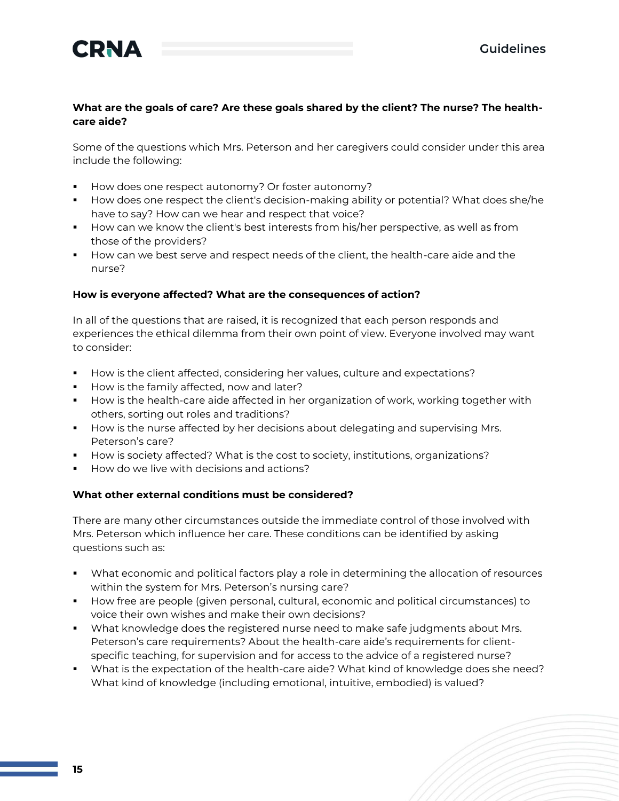

#### **What are the goals of care? Are these goals shared by the client? The nurse? The healthcare aide?**

Some of the questions which Mrs. Peterson and her caregivers could consider under this area include the following:

- How does one respect autonomy? Or foster autonomy?
- How does one respect the client's decision-making ability or potential? What does she/he have to say? How can we hear and respect that voice?
- How can we know the client's best interests from his/her perspective, as well as from those of the providers?
- **■** How can we best serve and respect needs of the client, the health-care aide and the nurse?

#### **How is everyone affected? What are the consequences of action?**

In all of the questions that are raised, it is recognized that each person responds and experiences the ethical dilemma from their own point of view. Everyone involved may want to consider:

- How is the client affected, considering her values, culture and expectations?
- How is the family affected, now and later?
- **■** How is the health-care aide affected in her organization of work, working together with others, sorting out roles and traditions?
- **■** How is the nurse affected by her decisions about delegating and supervising Mrs. Peterson's care?
- How is society affected? What is the cost to society, institutions, organizations?
- How do we live with decisions and actions?

#### **What other external conditions must be considered?**

There are many other circumstances outside the immediate control of those involved with Mrs. Peterson which influence her care. These conditions can be identified by asking questions such as:

- What economic and political factors play a role in determining the allocation of resources within the system for Mrs. Peterson's nursing care?
- How free are people (given personal, cultural, economic and political circumstances) to voice their own wishes and make their own decisions?
- What knowledge does the registered nurse need to make safe judgments about Mrs. Peterson's care requirements? About the health-care aide's requirements for clientspecific teaching, for supervision and for access to the advice of a registered nurse?
- What is the expectation of the health-care aide? What kind of knowledge does she need? What kind of knowledge (including emotional, intuitive, embodied) is valued?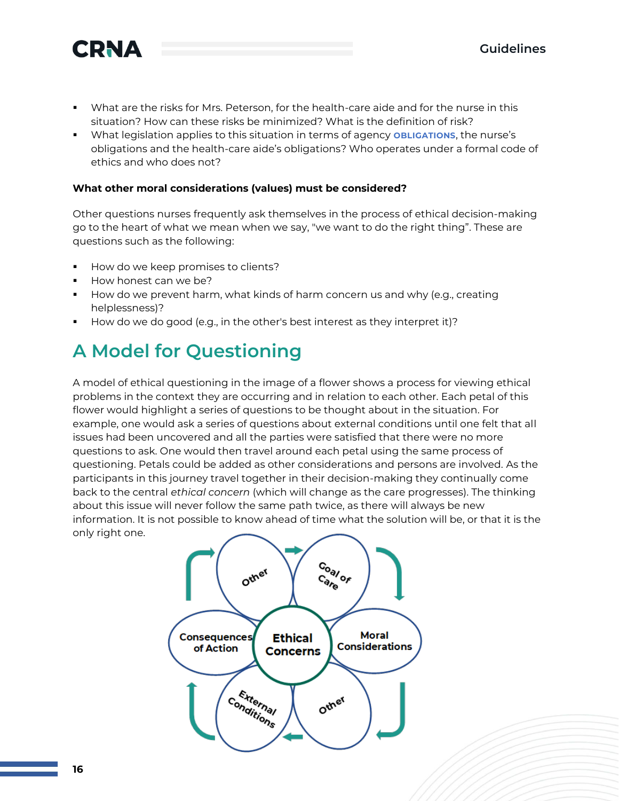

- What are the risks for Mrs. Peterson, for the health-care aide and for the nurse in this situation? How can these risks be minimized? What is the definition of risk?
- **EXECT** What legislation applies to this situation in terms of agency **OBLIGATIONS**, the nurse's obligations and the health-care aide's obligations? Who operates under a formal code of ethics and who does not?

#### **What other moral considerations (values) must be considered?**

Other questions nurses frequently ask themselves in the process of ethical decision-making go to the heart of what we mean when we say, "we want to do the right thing". These are questions such as the following:

- How do we keep promises to clients?
- How honest can we be?
- How do we prevent harm, what kinds of harm concern us and why (e.g., creating helplessness)?
- How do we do good (e.g., in the other's best interest as they interpret it)?

### **A Model for Questioning**

A model of ethical questioning in the image of a flower shows a process for viewing ethical problems in the context they are occurring and in relation to each other. Each petal of this flower would highlight a series of questions to be thought about in the situation. For example, one would ask a series of questions about external conditions until one felt that all issues had been uncovered and all the parties were satisfied that there were no more questions to ask. One would then travel around each petal using the same process of questioning. Petals could be added as other considerations and persons are involved. As the participants in this journey travel together in their decision-making they continually come back to the central *ethical concern* (which will change as the care progresses). The thinking about this issue will never follow the same path twice, as there will always be new information. It is not possible to know ahead of time what the solution will be, or that it is the only right one.

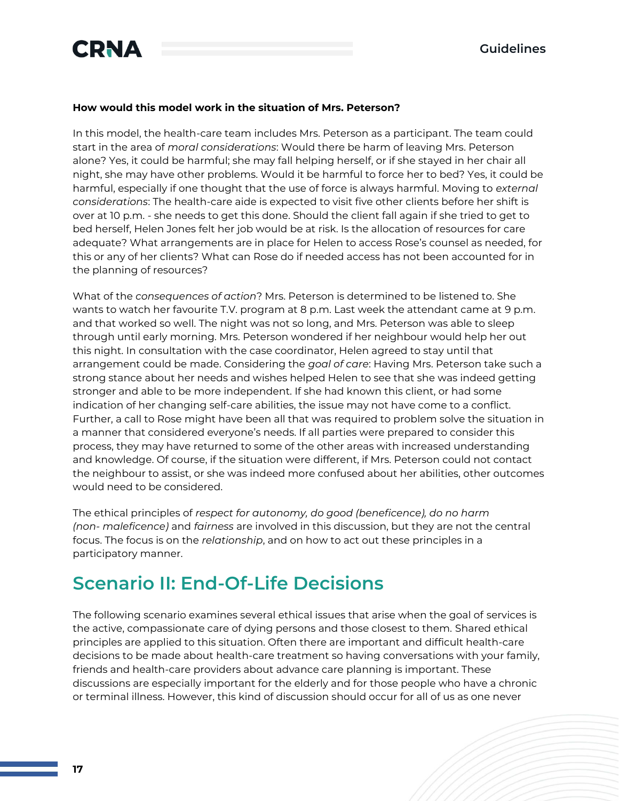

#### **How would this model work in the situation of Mrs. Peterson?**

In this model, the health-care team includes Mrs. Peterson as a participant. The team could start in the area of *moral considerations*: Would there be harm of leaving Mrs. Peterson alone? Yes, it could be harmful; she may fall helping herself, or if she stayed in her chair all night, she may have other problems. Would it be harmful to force her to bed? Yes, it could be harmful, especially if one thought that the use of force is always harmful. Moving to *external considerations*: The health-care aide is expected to visit five other clients before her shift is over at 10 p.m. - she needs to get this done. Should the client fall again if she tried to get to bed herself, Helen Jones felt her job would be at risk. Is the allocation of resources for care adequate? What arrangements are in place for Helen to access Rose's counsel as needed, for this or any of her clients? What can Rose do if needed access has not been accounted for in the planning of resources?

What of the *consequences of action*? Mrs. Peterson is determined to be listened to. She wants to watch her favourite T.V. program at 8 p.m. Last week the attendant came at 9 p.m. and that worked so well. The night was not so long, and Mrs. Peterson was able to sleep through until early morning. Mrs. Peterson wondered if her neighbour would help her out this night. In consultation with the case coordinator, Helen agreed to stay until that arrangement could be made. Considering the *goal of care*: Having Mrs. Peterson take such a strong stance about her needs and wishes helped Helen to see that she was indeed getting stronger and able to be more independent. If she had known this client, or had some indication of her changing self-care abilities, the issue may not have come to a conflict. Further, a call to Rose might have been all that was required to problem solve the situation in a manner that considered everyone's needs. If all parties were prepared to consider this process, they may have returned to some of the other areas with increased understanding and knowledge. Of course, if the situation were different, if Mrs. Peterson could not contact the neighbour to assist, or she was indeed more confused about her abilities, other outcomes would need to be considered.

The ethical principles of *respect for autonomy, do good (beneficence), do no harm (non- maleficence)* and *fairness* are involved in this discussion, but they are not the central focus. The focus is on the *relationship*, and on how to act out these principles in a participatory manner.

### **Scenario II: End-Of-Life Decisions**

The following scenario examines several ethical issues that arise when the goal of services is the active, compassionate care of dying persons and those closest to them. Shared ethical principles are applied to this situation. Often there are important and difficult health-care decisions to be made about health-care treatment so having conversations with your family, friends and health-care providers about advance care planning is important. These discussions are especially important for the elderly and for those people who have a chronic or terminal illness. However, this kind of discussion should occur for all of us as one never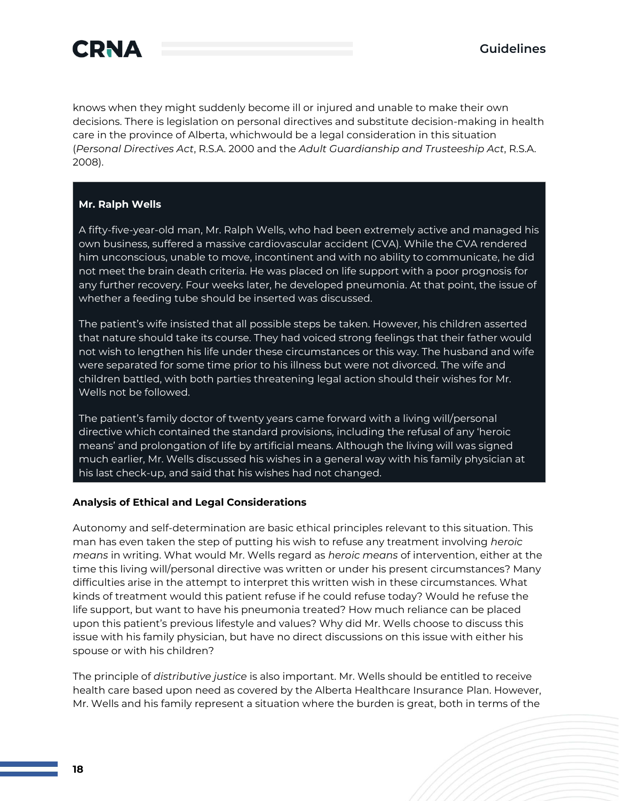

knows when they might suddenly become ill or injured and unable to make their own decisions. There is legislation on personal directives and substitute decision-making in health care in the province of Alberta, whichwould be a legal consideration in this situation (*Personal Directives Act*, R.S.A. 2000 and the *Adult Guardianship and Trusteeship Act*, R.S.A. 2008).

#### **Mr. Ralph Wells**

A fifty-five-year-old man, Mr. Ralph Wells, who had been extremely active and managed his own business, suffered a massive cardiovascular accident (CVA). While the CVA rendered him unconscious, unable to move, incontinent and with no ability to communicate, he did not meet the brain death criteria. He was placed on life support with a poor prognosis for any further recovery. Four weeks later, he developed pneumonia. At that point, the issue of whether a feeding tube should be inserted was discussed.

The patient's wife insisted that all possible steps be taken. However, his children asserted that nature should take its course. They had voiced strong feelings that their father would not wish to lengthen his life under these circumstances or this way. The husband and wife were separated for some time prior to his illness but were not divorced. The wife and children battled, with both parties threatening legal action should their wishes for Mr. Wells not be followed.

The patient's family doctor of twenty years came forward with a living will/personal directive which contained the standard provisions, including the refusal of any 'heroic means' and prolongation of life by artificial means. Although the living will was signed much earlier, Mr. Wells discussed his wishes in a general way with his family physician at his last check-up, and said that his wishes had not changed.

#### **Analysis of Ethical and Legal Considerations**

Autonomy and self-determination are basic ethical principles relevant to this situation. This man has even taken the step of putting his wish to refuse any treatment involving *heroic means* in writing. What would Mr. Wells regard as *heroic means* of intervention, either at the time this living will/personal directive was written or under his present circumstances? Many difficulties arise in the attempt to interpret this written wish in these circumstances. What kinds of treatment would this patient refuse if he could refuse today? Would he refuse the life support, but want to have his pneumonia treated? How much reliance can be placed upon this patient's previous lifestyle and values? Why did Mr. Wells choose to discuss this issue with his family physician, but have no direct discussions on this issue with either his spouse or with his children?

The principle of *distributive justice* is also important. Mr. Wells should be entitled to receive health care based upon need as covered by the Alberta Healthcare Insurance Plan. However, Mr. Wells and his family represent a situation where the burden is great, both in terms of the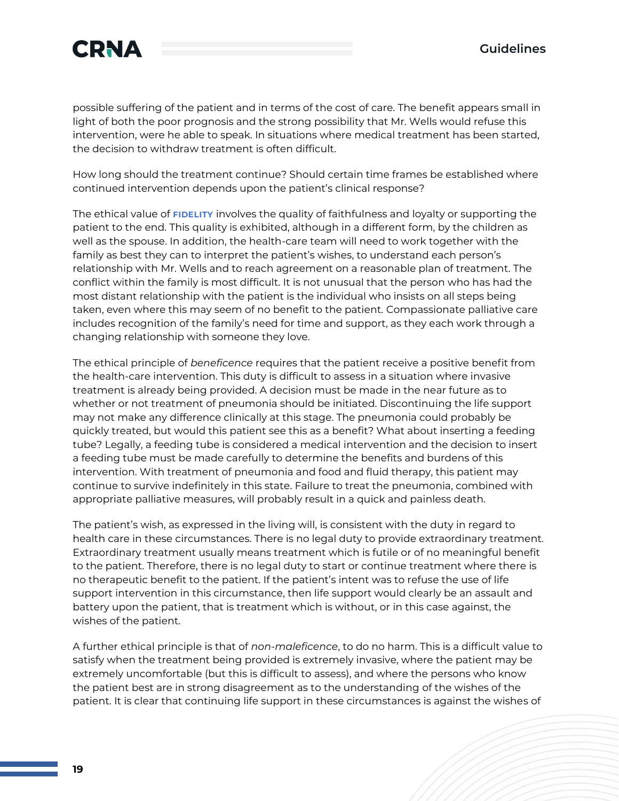

possible suffering of the patient and in terms of the cost of care. The benefit appears small in light of both the poor prognosis and the strong possibility that Mr. Wells would refuse this intervention, were he able to speak. In situations where medical treatment has been started, the decision to withdraw treatment is often difficult.

How long should the treatment continue? Should certain time frames be established where continued intervention depends upon the patient's clinical response?

The ethical value of **FIDELITY** involves the quality of faithfulness and loyalty or supporting the patient to the end. This quality is exhibited, although in a different form, by the children as well as the spouse. In addition, the health-care team will need to work together with the family as best they can to interpret the patient's wishes, to understand each person's relationship with Mr. Wells and to reach agreement on a reasonable plan of treatment. The conflict within the family is most difficult. It is not unusual that the person who has had the most distant relationship with the patient is the individual who insists on all steps being taken, even where this may seem of no benefit to the patient. Compassionate palliative care includes recognition of the family's need for time and support, as they each work through a changing relationship with someone they love.

The ethical principle of *beneficence* requires that the patient receive a positive benefit from the health-care intervention. This duty is difficult to assess in a situation where invasive treatment is already being provided. A decision must be made in the near future as to whether or not treatment of pneumonia should be initiated. Discontinuing the life support may not make any difference clinically at this stage. The pneumonia could probably be quickly treated, but would this patient see this as a benefit? What about inserting a feeding tube? Legally, a feeding tube is considered a medical intervention and the decision to insert a feeding tube must be made carefully to determine the benefits and burdens of this intervention. With treatment of pneumonia and food and fluid therapy, this patient may continue to survive indefinitely in this state. Failure to treat the pneumonia, combined with appropriate palliative measures, will probably result in a quick and painless death.

The patient's wish, as expressed in the living will, is consistent with the duty in regard to health care in these circumstances. There is no legal duty to provide extraordinary treatment. Extraordinary treatment usually means treatment which is futile or of no meaningful benefit to the patient. Therefore, there is no legal duty to start or continue treatment where there is no therapeutic benefit to the patient. If the patient's intent was to refuse the use of life support intervention in this circumstance, then life support would clearly be an assault and battery upon the patient, that is treatment which is without, or in this case against, the wishes of the patient.

A further ethical principle is that of *non-maleficence*, to do no harm. This is a difficult value to satisfy when the treatment being provided is extremely invasive, where the patient may be extremely uncomfortable (but this is difficult to assess), and where the persons who know the patient best are in strong disagreement as to the understanding of the wishes of the patient. It is clear that continuing life support in these circumstances is against the wishes of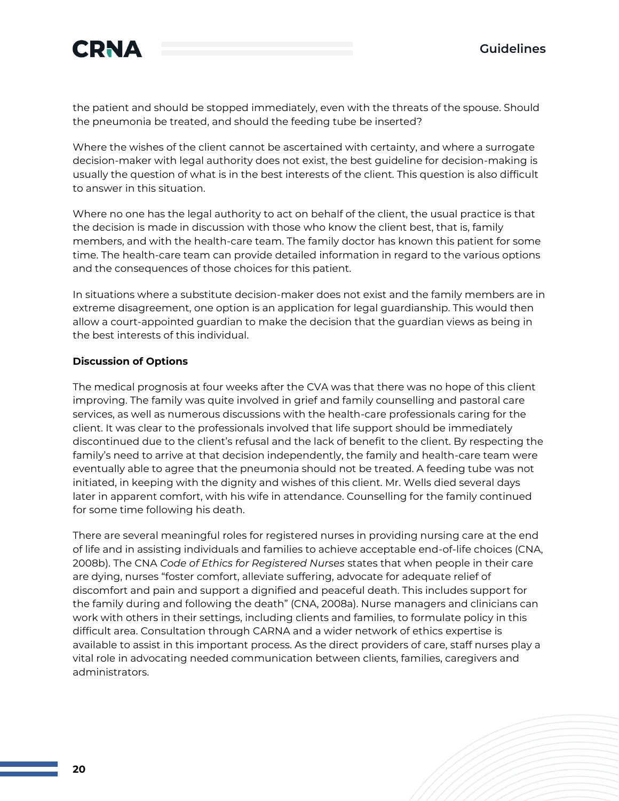

the patient and should be stopped immediately, even with the threats of the spouse. Should the pneumonia be treated, and should the feeding tube be inserted?

Where the wishes of the client cannot be ascertained with certainty, and where a surrogate decision-maker with legal authority does not exist, the best guideline for decision-making is usually the question of what is in the best interests of the client. This question is also difficult to answer in this situation.

Where no one has the legal authority to act on behalf of the client, the usual practice is that the decision is made in discussion with those who know the client best, that is, family members, and with the health-care team. The family doctor has known this patient for some time. The health-care team can provide detailed information in regard to the various options and the consequences of those choices for this patient.

In situations where a substitute decision-maker does not exist and the family members are in extreme disagreement, one option is an application for legal guardianship. This would then allow a court-appointed guardian to make the decision that the guardian views as being in the best interests of this individual.

#### **Discussion of Options**

The medical prognosis at four weeks after the CVA was that there was no hope of this client improving. The family was quite involved in grief and family counselling and pastoral care services, as well as numerous discussions with the health-care professionals caring for the client. It was clear to the professionals involved that life support should be immediately discontinued due to the client's refusal and the lack of benefit to the client. By respecting the family's need to arrive at that decision independently, the family and health-care team were eventually able to agree that the pneumonia should not be treated. A feeding tube was not initiated, in keeping with the dignity and wishes of this client. Mr. Wells died several days later in apparent comfort, with his wife in attendance. Counselling for the family continued for some time following his death.

There are several meaningful roles for registered nurses in providing nursing care at the end of life and in assisting individuals and families to achieve acceptable end-of-life choices (CNA, 2008b). The CNA *Code of Ethics for Registered Nurses* states that when people in their care are dying, nurses "foster comfort, alleviate suffering, advocate for adequate relief of discomfort and pain and support a dignified and peaceful death. This includes support for the family during and following the death" (CNA, 2008a). Nurse managers and clinicians can work with others in their settings, including clients and families, to formulate policy in this difficult area. Consultation through CARNA and a wider network of ethics expertise is available to assist in this important process. As the direct providers of care, staff nurses play a vital role in advocating needed communication between clients, families, caregivers and administrators.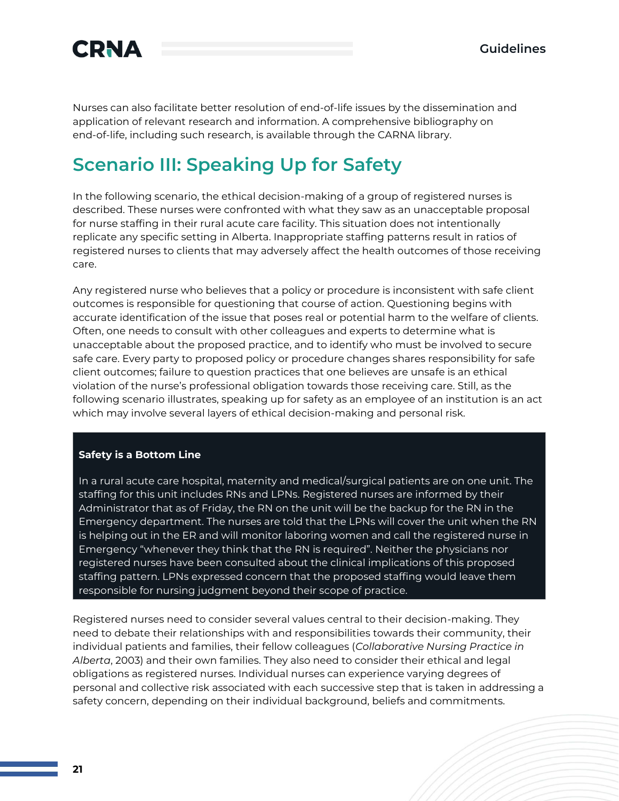

Nurses can also facilitate better resolution of end-of-life issues by the dissemination and application of relevant research and information. A comprehensive bibliography on end-of-life, including such research, is available through the CARNA library.

### **Scenario III: Speaking Up for Safety**

In the following scenario, the ethical decision-making of a group of registered nurses is described. These nurses were confronted with what they saw as an unacceptable proposal for nurse staffing in their rural acute care facility. This situation does not intentionally replicate any specific setting in Alberta. Inappropriate staffing patterns result in ratios of registered nurses to clients that may adversely affect the health outcomes of those receiving care.

Any registered nurse who believes that a policy or procedure is inconsistent with safe client outcomes is responsible for questioning that course of action. Questioning begins with accurate identification of the issue that poses real or potential harm to the welfare of clients. Often, one needs to consult with other colleagues and experts to determine what is unacceptable about the proposed practice, and to identify who must be involved to secure safe care. Every party to proposed policy or procedure changes shares responsibility for safe client outcomes; failure to question practices that one believes are unsafe is an ethical violation of the nurse's professional obligation towards those receiving care. Still, as the following scenario illustrates, speaking up for safety as an employee of an institution is an act which may involve several layers of ethical decision-making and personal risk.

#### **Safety is a Bottom Line**

In a rural acute care hospital, maternity and medical/surgical patients are on one unit. The staffing for this unit includes RNs and LPNs. Registered nurses are informed by their Administrator that as of Friday, the RN on the unit will be the backup for the RN in the Emergency department. The nurses are told that the LPNs will cover the unit when the RN is helping out in the ER and will monitor laboring women and call the registered nurse in Emergency "whenever they think that the RN is required". Neither the physicians nor registered nurses have been consulted about the clinical implications of this proposed staffing pattern. LPNs expressed concern that the proposed staffing would leave them responsible for nursing judgment beyond their scope of practice.

Registered nurses need to consider several values central to their decision-making. They need to debate their relationships with and responsibilities towards their community, their individual patients and families, their fellow colleagues (*Collaborative Nursing Practice in Alberta*, 2003) and their own families. They also need to consider their ethical and legal obligations as registered nurses. Individual nurses can experience varying degrees of personal and collective risk associated with each successive step that is taken in addressing a safety concern, depending on their individual background, beliefs and commitments.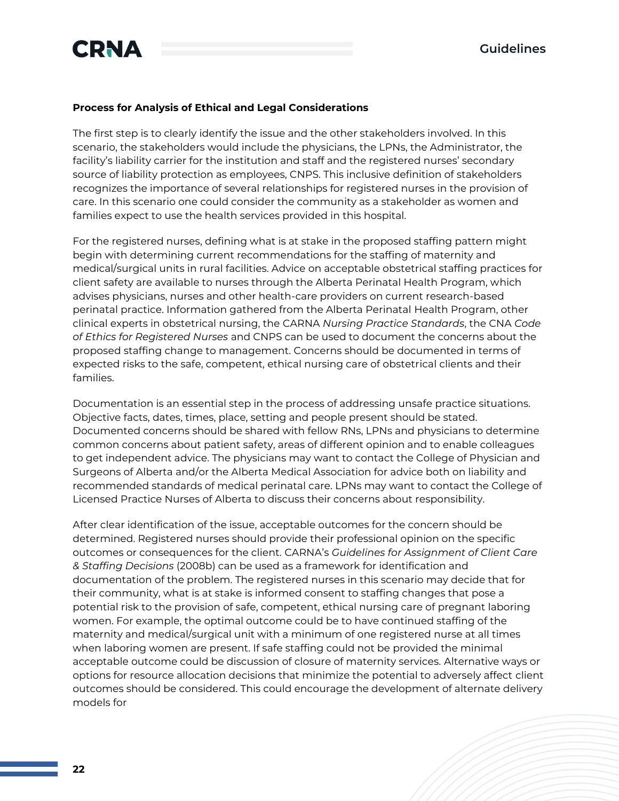

#### **Process for Analysis of Ethical and Legal Considerations**

The first step is to clearly identify the issue and the other stakeholders involved. In this scenario, the stakeholders would include the physicians, the LPNs, the Administrator, the facility's liability carrier for the institution and staff and the registered nurses' secondary source of liability protection as employees, CNPS. This inclusive definition of stakeholders recognizes the importance of several relationships for registered nurses in the provision of care. In this scenario one could consider the community as a stakeholder as women and families expect to use the health services provided in this hospital.

For the registered nurses, defining what is at stake in the proposed staffing pattern might begin with determining current recommendations for the staffing of maternity and medical/surgical units in rural facilities. Advice on acceptable obstetrical staffing practices for client safety are available to nurses through the Alberta Perinatal Health Program, which advises physicians, nurses and other health-care providers on current research-based perinatal practice. Information gathered from the Alberta Perinatal Health Program, other clinical experts in obstetrical nursing, the CARNA *Nursing Practice Standards*, the CNA *Code of Ethics for Registered Nurses* and CNPS can be used to document the concerns about the proposed staffing change to management. Concerns should be documented in terms of expected risks to the safe, competent, ethical nursing care of obstetrical clients and their families.

Documentation is an essential step in the process of addressing unsafe practice situations. Objective facts, dates, times, place, setting and people present should be stated. Documented concerns should be shared with fellow RNs, LPNs and physicians to determine common concerns about patient safety, areas of different opinion and to enable colleagues to get independent advice. The physicians may want to contact the College of Physician and Surgeons of Alberta and/or the Alberta Medical Association for advice both on liability and recommended standards of medical perinatal care. LPNs may want to contact the College of Licensed Practice Nurses of Alberta to discuss their concerns about responsibility.

After clear identification of the issue, acceptable outcomes for the concern should be determined. Registered nurses should provide their professional opinion on the specific outcomes or consequences for the client. CARNA's *Guidelines for Assignment of Client Care & Staffing Decisions* (2008b) can be used as a framework for identification and documentation of the problem. The registered nurses in this scenario may decide that for their community, what is at stake is informed consent to staffing changes that pose a potential risk to the provision of safe, competent, ethical nursing care of pregnant laboring women. For example, the optimal outcome could be to have continued staffing of the maternity and medical/surgical unit with a minimum of one registered nurse at all times when laboring women are present. If safe staffing could not be provided the minimal acceptable outcome could be discussion of closure of maternity services. Alternative ways or options for resource allocation decisions that minimize the potential to adversely affect client outcomes should be considered. This could encourage the development of alternate delivery models for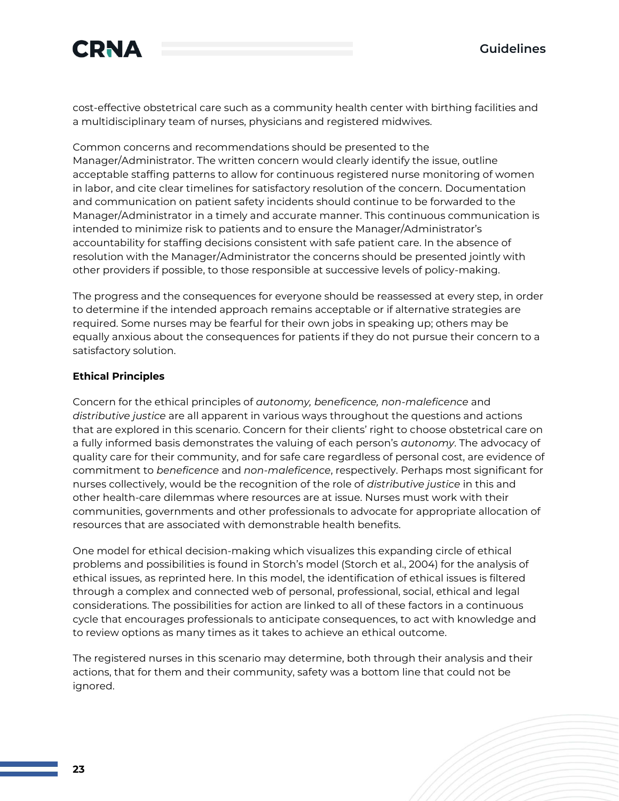

cost-effective obstetrical care such as a community health center with birthing facilities and a multidisciplinary team of nurses, physicians and registered midwives.

Common concerns and recommendations should be presented to the Manager/Administrator. The written concern would clearly identify the issue, outline acceptable staffing patterns to allow for continuous registered nurse monitoring of women in labor, and cite clear timelines for satisfactory resolution of the concern. Documentation and communication on patient safety incidents should continue to be forwarded to the Manager/Administrator in a timely and accurate manner. This continuous communication is intended to minimize risk to patients and to ensure the Manager/Administrator's accountability for staffing decisions consistent with safe patient care. In the absence of resolution with the Manager/Administrator the concerns should be presented jointly with other providers if possible, to those responsible at successive levels of policy-making.

The progress and the consequences for everyone should be reassessed at every step, in order to determine if the intended approach remains acceptable or if alternative strategies are required. Some nurses may be fearful for their own jobs in speaking up; others may be equally anxious about the consequences for patients if they do not pursue their concern to a satisfactory solution.

#### **Ethical Principles**

Concern for the ethical principles of *autonomy, beneficence, non-maleficence* and *distributive justice* are all apparent in various ways throughout the questions and actions that are explored in this scenario. Concern for their clients' right to choose obstetrical care on a fully informed basis demonstrates the valuing of each person's *autonomy*. The advocacy of quality care for their community, and for safe care regardless of personal cost, are evidence of commitment to *beneficence* and *non-maleficence*, respectively. Perhaps most significant for nurses collectively, would be the recognition of the role of *distributive justice* in this and other health-care dilemmas where resources are at issue. Nurses must work with their communities, governments and other professionals to advocate for appropriate allocation of resources that are associated with demonstrable health benefits.

One model for ethical decision-making which visualizes this expanding circle of ethical problems and possibilities is found in Storch's model (Storch et al., 2004) for the analysis of ethical issues, as reprinted here. In this model, the identification of ethical issues is filtered through a complex and connected web of personal, professional, social, ethical and legal considerations. The possibilities for action are linked to all of these factors in a continuous cycle that encourages professionals to anticipate consequences, to act with knowledge and to review options as many times as it takes to achieve an ethical outcome.

The registered nurses in this scenario may determine, both through their analysis and their actions, that for them and their community, safety was a bottom line that could not be ignored.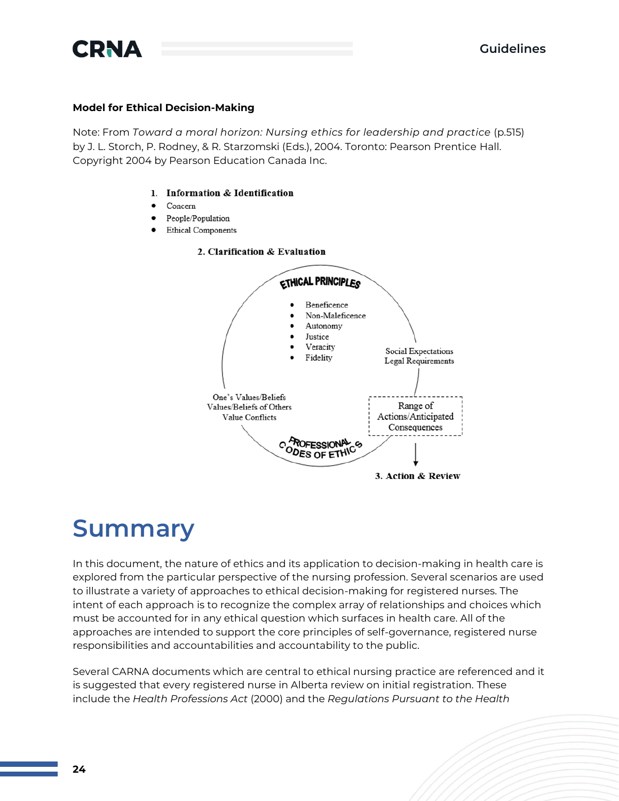

#### **Model for Ethical Decision-Making**

Note: From *Toward a moral horizon: Nursing ethics for leadership and practice* (p.515) by J. L. Storch, P. Rodney, & R. Starzomski (Eds.), 2004. Toronto: Pearson Prentice Hall. Copyright 2004 by Pearson Education Canada Inc.

#### 1. Information & Identification

- Concern
- People/Population
- **Ethical Components** 
	- 2. Clarification & Evaluation



### **Summary**

In this document, the nature of ethics and its application to decision-making in health care is explored from the particular perspective of the nursing profession. Several scenarios are used to illustrate a variety of approaches to ethical decision-making for registered nurses. The intent of each approach is to recognize the complex array of relationships and choices which must be accounted for in any ethical question which surfaces in health care. All of the approaches are intended to support the core principles of self-governance, registered nurse responsibilities and accountabilities and accountability to the public.

Several CARNA documents which are central to ethical nursing practice are referenced and it is suggested that every registered nurse in Alberta review on initial registration. These include the *Health Professions Act* (2000) and the *Regulations Pursuant to the Health*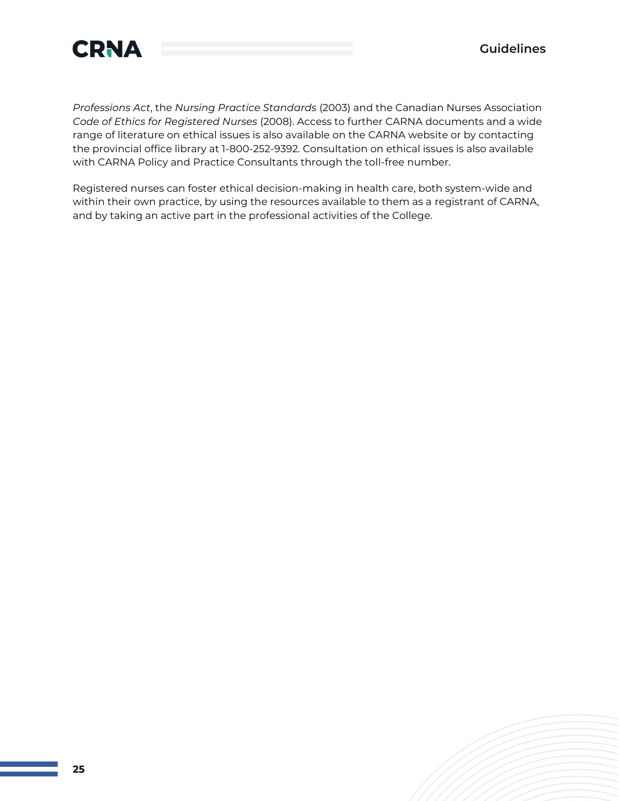

*Professions Act*, the *Nursing Practice Standards* (2003) and the Canadian Nurses Association *Code of Ethics for Registered Nurses* (2008). Access to further CARNA documents and a wide range of literature on ethical issues is also available on the CARNA website or by contacting the provincial office library at 1-800-252-9392. Consultation on ethical issues is also available with CARNA Policy and Practice Consultants through the toll-free number.

Registered nurses can foster ethical decision-making in health care, both system-wide and within their own practice, by using the resources available to them as a registrant of CARNA, and by taking an active part in the professional activities of the College.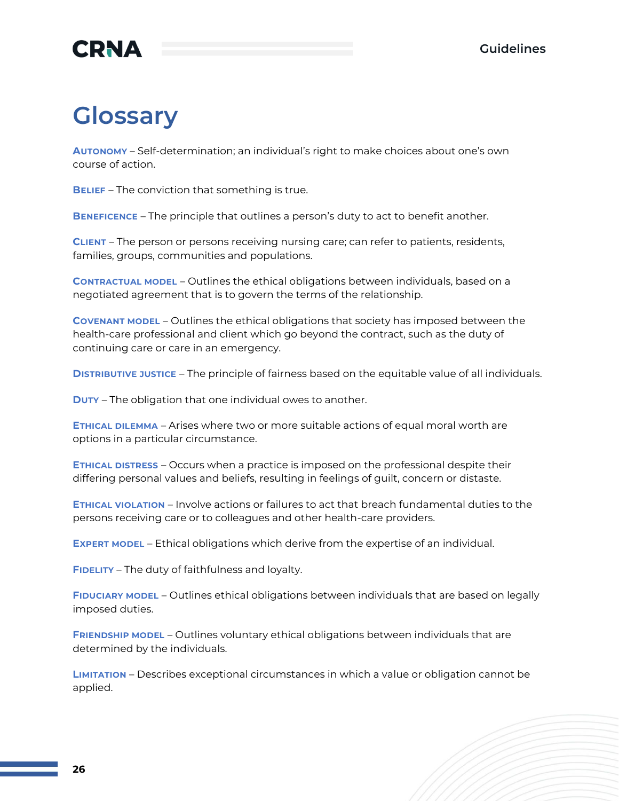

## **Glossary**

**AUTONOMY** – Self-determination; an individual's right to make choices about one's own course of action.

**BELIEF** – The conviction that something is true.

**BENEFICENCE** – The principle that outlines a person's duty to act to benefit another.

**CLIENT** – The person or persons receiving nursing care; can refer to patients, residents, families, groups, communities and populations.

**CONTRACTUAL MODEL** – Outlines the ethical obligations between individuals, based on a negotiated agreement that is to govern the terms of the relationship.

**COVENANT MODEL** – Outlines the ethical obligations that society has imposed between the health-care professional and client which go beyond the contract, such as the duty of continuing care or care in an emergency.

**DISTRIBUTIVE JUSTICE** – The principle of fairness based on the equitable value of all individuals.

**DUTY** – The obligation that one individual owes to another.

**ETHICAL DILEMMA** – Arises where two or more suitable actions of equal moral worth are options in a particular circumstance.

**ETHICAL DISTRESS** – Occurs when a practice is imposed on the professional despite their differing personal values and beliefs, resulting in feelings of guilt, concern or distaste.

**ETHICAL VIOLATION** – Involve actions or failures to act that breach fundamental duties to the persons receiving care or to colleagues and other health-care providers.

**EXPERT MODEL** – Ethical obligations which derive from the expertise of an individual.

**FIDELITY** – The duty of faithfulness and loyalty.

**FIDUCIARY MODEL** – Outlines ethical obligations between individuals that are based on legally imposed duties.

**FRIENDSHIP MODEL** – Outlines voluntary ethical obligations between individuals that are determined by the individuals.

**LIMITATION** – Describes exceptional circumstances in which a value or obligation cannot be applied.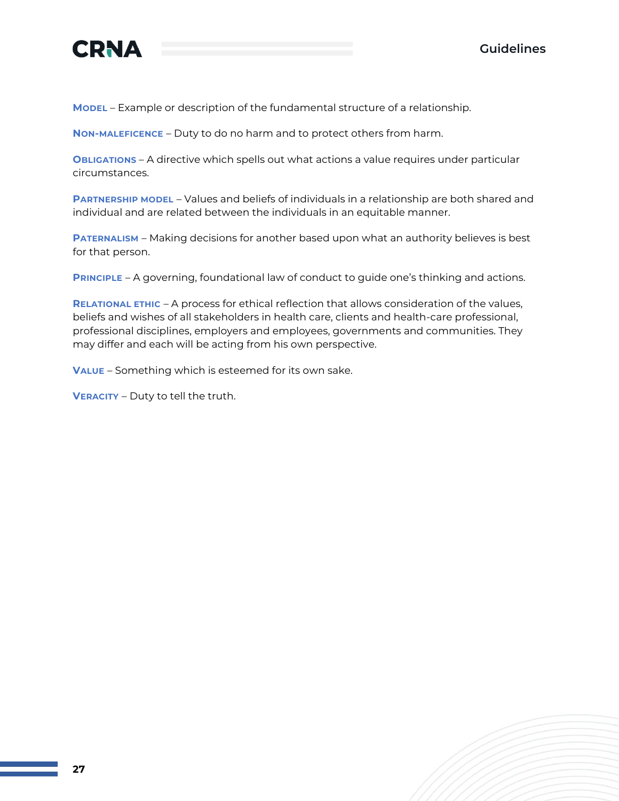



**MODEL** – Example or description of the fundamental structure of a relationship.

**NON-MALEFICENCE** – Duty to do no harm and to protect others from harm.

**OBLIGATIONS** – A directive which spells out what actions a value requires under particular circumstances.

**PARTNERSHIP MODEL** – Values and beliefs of individuals in a relationship are both shared and individual and are related between the individuals in an equitable manner.

**PATERNALISM** – Making decisions for another based upon what an authority believes is best for that person.

**PRINCIPLE** – A governing, foundational law of conduct to guide one's thinking and actions.

**RELATIONAL ETHIC** – A process for ethical reflection that allows consideration of the values, beliefs and wishes of all stakeholders in health care, clients and health-care professional, professional disciplines, employers and employees, governments and communities. They may differ and each will be acting from his own perspective.

**VALUE** – Something which is esteemed for its own sake.

**VERACITY** – Duty to tell the truth.

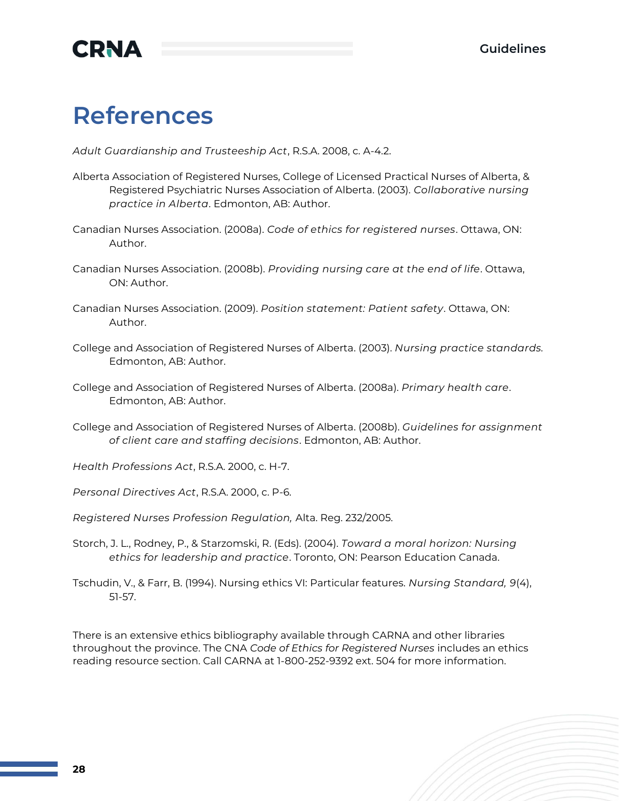

### **References**

*Adult Guardianship and Trusteeship Act*, R.S.A. 2008, c. A-4.2.

- Alberta Association of Registered Nurses, College of Licensed Practical Nurses of Alberta, & Registered Psychiatric Nurses Association of Alberta. (2003). *Collaborative nursing practice in Alberta*. Edmonton, AB: Author.
- Canadian Nurses Association. (2008a). *Code of ethics for registered nurses*. Ottawa, ON: Author.
- Canadian Nurses Association. (2008b). *Providing nursing care at the end of life*. Ottawa, ON: Author.
- Canadian Nurses Association. (2009). *Position statement: Patient safety*. Ottawa, ON: Author.
- College and Association of Registered Nurses of Alberta. (2003). *Nursing practice standards.*  Edmonton, AB: Author.
- College and Association of Registered Nurses of Alberta. (2008a). *Primary health care*. Edmonton, AB: Author.
- College and Association of Registered Nurses of Alberta. (2008b). *Guidelines for assignment of client care and staffing decisions*. Edmonton, AB: Author.
- *Health Professions Act*, R.S.A. 2000, c. H-7.
- *Personal Directives Act*, R.S.A. 2000, c. P-6.
- *Registered Nurses Profession Regulation,* Alta. Reg. 232/2005.
- Storch, J. L., Rodney, P., & Starzomski, R. (Eds). (2004). *Toward a moral horizon: Nursing ethics for leadership and practice*. Toronto, ON: Pearson Education Canada.
- Tschudin, V., & Farr, B. (1994). Nursing ethics VI: Particular features. *Nursing Standard, 9*(4), 51-57.

There is an extensive ethics bibliography available through CARNA and other libraries throughout the province. The CNA *Code of Ethics for Registered Nurses* includes an ethics reading resource section. Call CARNA at 1-800-252-9392 ext. 504 for more information.